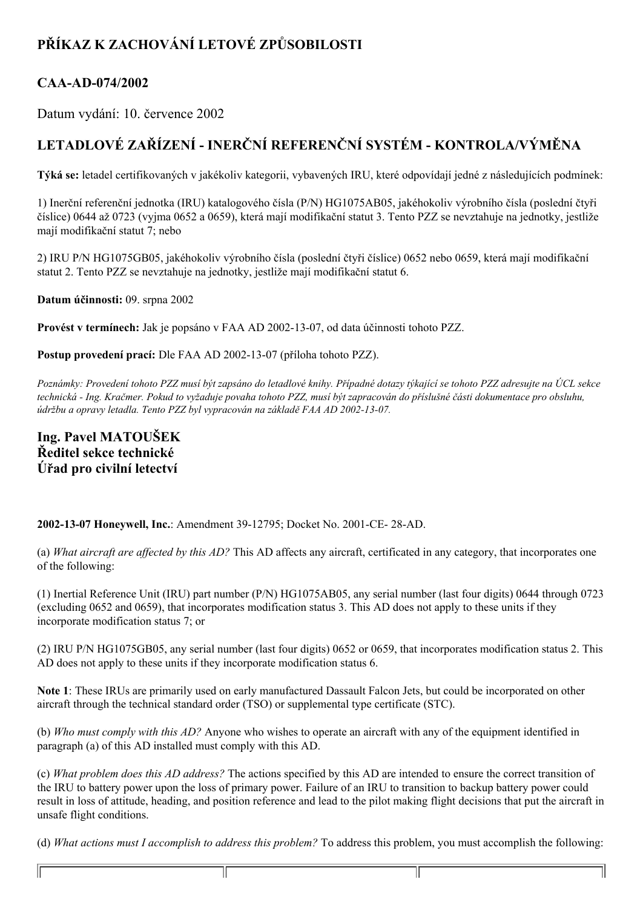## **PŘÍKAZ K ZACHOVÁNÍ LETOVÉ ZPŮSOBILOSTI**

## CAA-AD-074/2002

Datum vydání: 10. července 2002

## **LETADLOVÉ ZAŘÍZENÍ INERČNÍ REFERENČNÍ SYSTÉM KONTROLA/VÝMĚNA**

**Týká se:** letadel certifikovaných v jakékoliv kategorii, vybavených IRU, které odpovídají jedné z následujících podmínek:

1) Inerční referenční jednotka (IRU) katalogového čísla (P/N) HG1075AB05, jakéhokoliv výrobního čísla (poslední čtyři číslice) 0644 až 0723 (vyjma 0652 a 0659), která mají modifikační statut 3. Tento PZZ se nevztahuje na jednotky, jestliže mají modifikační statut 7; nebo

2) IRU P/N HG1075GB05, jakéhokoliv výrobního čísla (poslední čtyři číslice) 0652 nebo 0659, která mají modifikační statut 2. Tento PZZ se nevztahuje na jednotky, jestliže mají modifikační statut 6.

**Datum účinnosti:** 09. srpna 2002

**Provést v termínech:** Jak je popsáno v FAA AD 20021307, od data účinnosti tohoto PZZ.

**Postup provedení prací:** Dle FAA AD 2002-13-07 (příloha tohoto PZZ).

Poznámky: Provedení tohoto PZZ musí být zapsáno do letadlové knihy. Případné dotazy týkající se tohoto PZZ adresujte na ÚCL sekce technická - Ing. Kračmer. Pokud to vyžaduje povaha tohoto PZZ, musí být zapracován do příslušné části dokumentace pro obsluhu, *údržbu a opravy letadla. Tento PZZ byl vypracován na základě FAA AD 2002-13-07.* 

## **Ing. Pavel MATOUŠEK Ředitel sekce technické Úřad pro civilní letectví**

2002-13-07 **Honeywell, Inc.: Amendment 39-12795; Docket No. 2001-CE-28-AD.** 

11

(a) *What aircraft are af ected by this AD?* This AD affects any aircraft, certificated in any category, that incorporates one of the following:

(1) Inertial Reference Unit (IRU) part number (P/N) HG1075AB05, any serial number (last four digits) 0644 through 0723 (excluding 0652 and 0659), that incorporates modification status 3. This AD does not apply to these units if they incorporate modification status 7; or

(2) IRU P/N HG1075GB05, any serial number (last four digits) 0652 or 0659, that incorporates modification status 2. This AD does not apply to these units if they incorporate modification status 6.

**Note 1**: These IRUs are primarily used on early manufactured Dassault Falcon Jets, but could be incorporated on other aircraft through the technical standard order (TSO) or supplemental type certificate (STC).

(b) *Who must comply with this AD?* Anyone who wishes to operate an aircraft with any of the equipment identified in paragraph (a) of this AD installed must comply with this AD.

(c) *What problem does this AD address?* The actions specified by this AD are intended to ensure the correct transition of the IRU to battery power upon the loss of primary power. Failure of an IRU to transition to backup battery power could result in loss of attitude, heading, and position reference and lead to the pilot making flight decisions that put the aircraft in unsafe flight conditions.

(d) *What actions must I accomplish to address this problem?* To address this problem, you must accomplish the following:

11

1